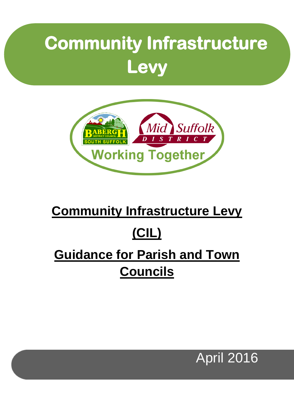# **Community Infrastructure Levy**



### **Community Infrastructure Levy**

## **(CIL)**

## **Guidance for Parish and Town Councils**

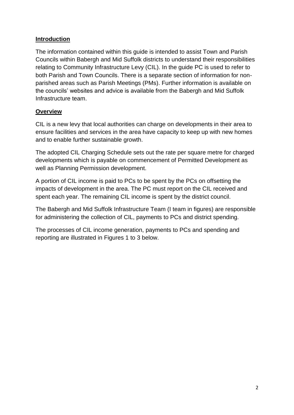#### **Introduction**

The information contained within this guide is intended to assist Town and Parish Councils within Babergh and Mid Suffolk districts to understand their responsibilities relating to Community Infrastructure Levy (CIL). In the guide PC is used to refer to both Parish and Town Councils. There is a separate section of information for nonparished areas such as Parish Meetings (PMs). Further information is available on the councils' websites and advice is available from the Babergh and Mid Suffolk Infrastructure team.

#### **Overview**

CIL is a new levy that local authorities can charge on developments in their area to ensure facilities and services in the area have capacity to keep up with new homes and to enable further sustainable growth.

The adopted CIL Charging Schedule sets out the rate per square metre for charged developments which is payable on commencement of Permitted Development as well as Planning Permission development.

A portion of CIL income is paid to PCs to be spent by the PCs on offsetting the impacts of development in the area. The PC must report on the CIL received and spent each year. The remaining CIL income is spent by the district council.

The Babergh and Mid Suffolk Infrastructure Team (I team in figures) are responsible for administering the collection of CIL, payments to PCs and district spending.

The processes of CIL income generation, payments to PCs and spending and reporting are illustrated in Figures 1 to 3 below.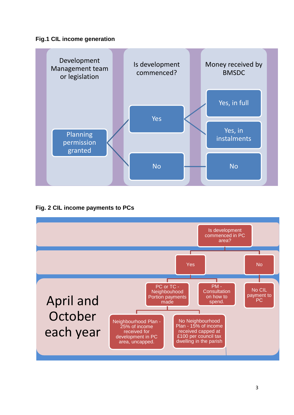



**Fig. 2 CIL income payments to PCs**

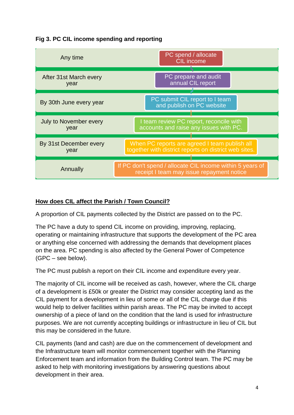



#### **How does CIL affect the Parish / Town Council?**

A proportion of CIL payments collected by the District are passed on to the PC.

The PC have a duty to spend CIL income on providing, improving, replacing, operating or maintaining infrastructure that supports the development of the PC area or anything else concerned with addressing the demands that development places on the area. PC spending is also affected by the General Power of Competence (GPC – see below).

The PC must publish a report on their CIL income and expenditure every year.

The majority of CIL income will be received as cash, however, where the CIL charge of a development is £50k or greater the District may consider accepting land as the CIL payment for a development in lieu of some or all of the CIL charge due if this would help to deliver facilities within parish areas. The PC may be invited to accept ownership of a piece of land on the condition that the land is used for infrastructure purposes. We are not currently accepting buildings or infrastructure in lieu of CIL but this may be considered in the future.

CIL payments (land and cash) are due on the commencement of development and the Infrastructure team will monitor commencement together with the Planning Enforcement team and information from the Building Control team. The PC may be asked to help with monitoring investigations by answering questions about development in their area.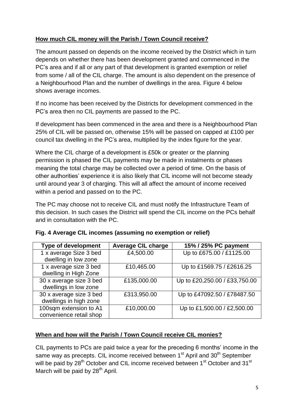#### **How much CIL money will the Parish / Town Council receive?**

The amount passed on depends on the income received by the District which in turn depends on whether there has been development granted and commenced in the PC's area and if all or any part of that development is granted exemption or relief from some / all of the CIL charge. The amount is also dependent on the presence of a Neighbourhood Plan and the number of dwellings in the area. Figure 4 below shows average incomes.

If no income has been received by the Districts for development commenced in the PC's area then no CIL payments are passed to the PC.

If development has been commenced in the area and there is a Neighbourhood Plan 25% of CIL will be passed on, otherwise 15% will be passed on capped at £100 per council tax dwelling in the PC's area, multiplied by the index figure for the year.

Where the CIL charge of a development is £50k or greater or the planning permission is phased the CIL payments may be made in instalments or phases meaning the total charge may be collected over a period of time. On the basis of other authorities' experience it is also likely that CIL income will not become steady until around year 3 of charging. This will all affect the amount of income received within a period and passed on to the PC.

The PC may choose not to receive CIL and must notify the Infrastructure Team of this decision. In such cases the District will spend the CIL income on the PCs behalf and in consultation with the PC.

| <b>Type of development</b> | <b>Average CIL charge</b> | 15% / 25% PC payment          |
|----------------------------|---------------------------|-------------------------------|
| 1 x average Size 3 bed     | £4,500.00                 | Up to £675.00 / £1125.00      |
| dwelling in low zone       |                           |                               |
| 1 x average size 3 bed     | £10,465.00                | Up to £1569.75 / £2616.25     |
| dwelling in High Zone      |                           |                               |
| 30 x average size 3 bed    | £135,000.00               | Up to £20,250.00 / £33,750.00 |
| dwellings in low zone      |                           |                               |
| 30 x average size 3 bed    | £313,950.00               | Up to £47092.50 / £78487.50   |
| dwellings in high zone     |                           |                               |
| 100sqm extension to A1     | £10,000.00                | Up to £1,500.00 / £2,500.00   |
| convenience retail shop    |                           |                               |

|  |  |  | Fig. 4 Average CIL incomes (assuming no exemption or relief) |  |
|--|--|--|--------------------------------------------------------------|--|
|  |  |  |                                                              |  |

#### **When and how will the Parish / Town Council receive CIL monies?**

CIL payments to PCs are paid twice a year for the preceding 6 months' income in the same way as precepts. CIL income received between  $1<sup>st</sup>$  April and  $30<sup>th</sup>$  September will be paid by 28<sup>th</sup> October and CIL income received between 1<sup>st</sup> October and 31<sup>st</sup> March will be paid by 28<sup>th</sup> April.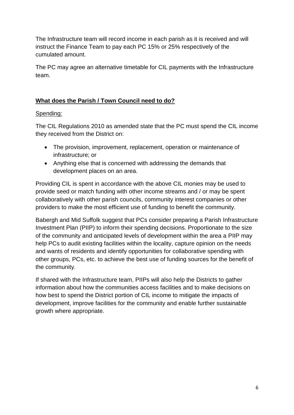The Infrastructure team will record income in each parish as it is received and will instruct the Finance Team to pay each PC 15% or 25% respectively of the cumulated amount.

The PC may agree an alternative timetable for CIL payments with the Infrastructure team.

#### **What does the Parish / Town Council need to do?**

#### Spending:

The CIL Regulations 2010 as amended state that the PC must spend the CIL income they received from the District on:

- The provision, improvement, replacement, operation or maintenance of infrastructure; or
- Anything else that is concerned with addressing the demands that development places on an area.

Providing CIL is spent in accordance with the above CIL monies may be used to provide seed or match funding with other income streams and / or may be spent collaboratively with other parish councils, community interest companies or other providers to make the most efficient use of funding to benefit the community.

Babergh and Mid Suffolk suggest that PCs consider preparing a Parish Infrastructure Investment Plan (PIIP) to inform their spending decisions. Proportionate to the size of the community and anticipated levels of development within the area a PIIP may help PCs to audit existing facilities within the locality, capture opinion on the needs and wants of residents and identify opportunities for collaborative spending with other groups, PCs, etc. to achieve the best use of funding sources for the benefit of the community.

If shared with the Infrastructure team, PIIPs will also help the Districts to gather information about how the communities access facilities and to make decisions on how best to spend the District portion of CIL income to mitigate the impacts of development, improve facilities for the community and enable further sustainable growth where appropriate.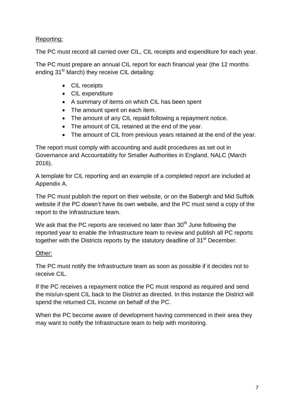#### Reporting:

The PC must record all carried over CIL, CIL receipts and expenditure for each year.

The PC must prepare an annual CIL report for each financial year (the 12 months ending 31<sup>st</sup> March) they receive CIL detailing:

- CIL receipts
- CIL expenditure
- A summary of items on which CIL has been spent
- The amount spent on each item.
- The amount of any CIL repaid following a repayment notice.
- The amount of CIL retained at the end of the year.
- The amount of CIL from previous years retained at the end of the year.

The report must comply with accounting and audit procedures as set out in Governance and Accountability for Smaller Authorities in England, NALC (March 2016).

A template for CIL reporting and an example of a completed report are included at Appendix A.

The PC must publish the report on their website, or on the Babergh and Mid Suffolk website if the PC doesn't have its own website, and the PC must send a copy of the report to the Infrastructure team.

We ask that the PC reports are received no later than  $30<sup>th</sup>$  June following the reported year to enable the Infrastructure team to review and publish all PC reports together with the Districts reports by the statutory deadline of 31<sup>st</sup> December.

#### Other:

The PC must notify the Infrastructure team as soon as possible if it decides not to receive CIL.

If the PC receives a repayment notice the PC must respond as required and send the mis/un-spent CIL back to the District as directed. In this instance the District will spend the returned CIL income on behalf of the PC.

When the PC become aware of development having commenced in their area they may want to notify the Infrastructure team to help with monitoring.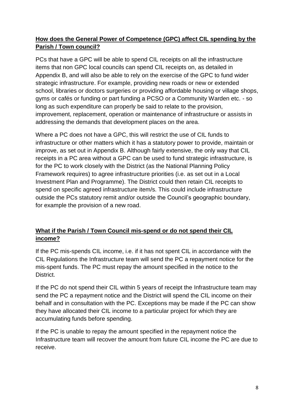#### **How does the General Power of Competence (GPC) affect CIL spending by the Parish / Town council?**

PCs that have a GPC will be able to spend CIL receipts on all the infrastructure items that non GPC local councils can spend CIL receipts on, as detailed in Appendix B, and will also be able to rely on the exercise of the GPC to fund wider strategic infrastructure. For example, providing new roads or new or extended school, libraries or doctors surgeries or providing affordable housing or village shops, gyms or cafés or funding or part funding a PCSO or a Community Warden etc. - so long as such expenditure can properly be said to relate to the provision, improvement, replacement, operation or maintenance of infrastructure or assists in addressing the demands that development places on the area.

Where a PC does not have a GPC, this will restrict the use of CIL funds to infrastructure or other matters which it has a statutory power to provide, maintain or improve, as set out in Appendix B. Although fairly extensive, the only way that CIL receipts in a PC area without a GPC can be used to fund strategic infrastructure, is for the PC to work closely with the District (as the National Planning Policy Framework requires) to agree infrastructure priorities (i.e. as set out in a Local Investment Plan and Programme). The District could then retain CIL receipts to spend on specific agreed infrastructure item/s. This could include infrastructure outside the PCs statutory remit and/or outside the Council's geographic boundary, for example the provision of a new road.

#### **What if the Parish / Town Council mis-spend or do not spend their CIL income?**

If the PC mis-spends CIL income, i.e. if it has not spent CIL in accordance with the CIL Regulations the Infrastructure team will send the PC a repayment notice for the mis-spent funds. The PC must repay the amount specified in the notice to the District.

If the PC do not spend their CIL within 5 years of receipt the Infrastructure team may send the PC a repayment notice and the District will spend the CIL income on their behalf and in consultation with the PC. Exceptions may be made if the PC can show they have allocated their CIL income to a particular project for which they are accumulating funds before spending.

If the PC is unable to repay the amount specified in the repayment notice the Infrastructure team will recover the amount from future CIL income the PC are due to receive.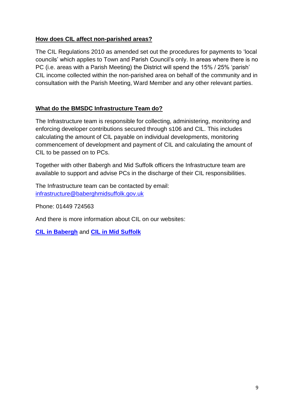#### **How does CIL affect non-parished areas?**

The CIL Regulations 2010 as amended set out the procedures for payments to 'local councils' which applies to Town and Parish Council's only. In areas where there is no PC (i.e. areas with a Parish Meeting) the District will spend the 15% / 25% 'parish' CIL income collected within the non-parished area on behalf of the community and in consultation with the Parish Meeting, Ward Member and any other relevant parties.

#### **What do the BMSDC Infrastructure Team do?**

The Infrastructure team is responsible for collecting, administering, monitoring and enforcing developer contributions secured through s106 and CIL. This includes calculating the amount of CIL payable on individual developments, monitoring commencement of development and payment of CIL and calculating the amount of CIL to be passed on to PCs.

Together with other Babergh and Mid Suffolk officers the Infrastructure team are available to support and advise PCs in the discharge of their CIL responsibilities.

The Infrastructure team can be contacted by email: [infrastructure@baberghmidsuffolk.gov.uk](mailto:infrastructure@baberghmidsuffolk.gov.uk)

Phone: 01449 724563

And there is more information about CIL on our websites:

**[CIL in Babergh](http://www.babergh.gov.uk/planning-and-building/community-infrastructure-levy-cil-in-babergh-2/)** and **[CIL in Mid Suffolk](http://www.midsuffolk.gov.uk/planning-and-building/community-infrastructure-levy-cil-in-mid-suffolk-2/)**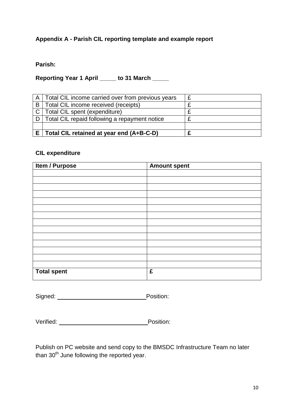#### **Appendix A - Parish CIL reporting template and example report**

#### **Parish:**

**Reporting Year 1 April \_\_\_\_\_ to 31 March \_\_\_\_\_**

|              | Total CIL retained at year end (A+B-C-D)          |  |
|--------------|---------------------------------------------------|--|
|              |                                                   |  |
|              | Total CIL repaid following a repayment notice     |  |
|              | Total CIL spent (expenditure)                     |  |
| B I          | Total CIL income received (receipts)              |  |
| $\mathsf{A}$ | Total CIL income carried over from previous years |  |

#### **CIL expenditure**

| <b>Item / Purpose</b> | <b>Amount spent</b> |
|-----------------------|---------------------|
|                       |                     |
|                       |                     |
|                       |                     |
|                       |                     |
|                       |                     |
|                       |                     |
|                       |                     |
|                       |                     |
|                       |                     |
|                       |                     |
|                       |                     |
|                       |                     |
|                       |                     |
|                       |                     |
| <b>Total spent</b>    | £                   |

Signed: Position:

Verified:Position:

Publish on PC website and send copy to the BMSDC Infrastructure Team no later than  $30<sup>th</sup>$  June following the reported year.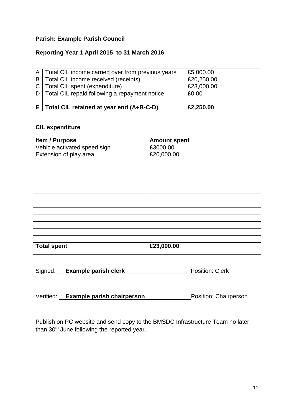#### **Parish: Example Parish Council**

#### **Reporting Year 1 April 2015 to 31 March 2016**

|     | A   Total CIL income carried over from previous years | £5,000.00  |
|-----|-------------------------------------------------------|------------|
| B I | Total CIL income received (receipts)                  | £20,250.00 |
|     | C   Total CIL spent (expenditure)                     | £23,000.00 |
|     | D   Total CIL repaid following a repayment notice     | £0.00      |
|     |                                                       |            |
|     | Total CIL retained at year end (A+B-C-D)              | £2,250.00  |

#### **CIL expenditure**

| <b>Item / Purpose</b>        | <b>Amount spent</b> |
|------------------------------|---------------------|
| Vehicle activated speed sign | £3000.00            |
| Extension of play area       | £20,000.00          |
|                              |                     |
|                              |                     |
|                              |                     |
|                              |                     |
|                              |                     |
|                              |                     |
|                              |                     |
|                              |                     |
|                              |                     |
|                              |                     |
|                              |                     |
|                              |                     |
| <b>Total spent</b>           | £23,000.00          |

| Signed:<br><b>Example parish clerk</b> | <b>Position: Clerk</b> |
|----------------------------------------|------------------------|
|----------------------------------------|------------------------|

|  | Verified: | <b>Example parish chairperson</b> | <b>Position: Chairperson</b> |
|--|-----------|-----------------------------------|------------------------------|
|--|-----------|-----------------------------------|------------------------------|

Publish on PC website and send copy to the BMSDC Infrastructure Team no later than 30<sup>th</sup> June following the reported year.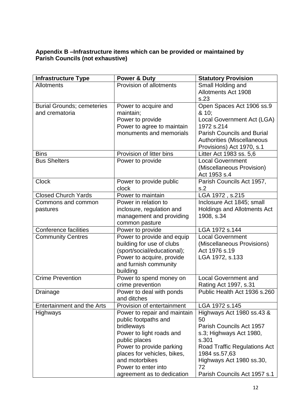#### **Appendix B –Infrastructure items which can be provided or maintained by Parish Councils (not exhaustive)**

| <b>Infrastructure Type</b>        | <b>Power &amp; Duty</b>      | <b>Statutory Provision</b>          |
|-----------------------------------|------------------------------|-------------------------------------|
| Allotments                        | Provision of allotments      | Small Holding and                   |
|                                   |                              | <b>Allotments Act 1908</b>          |
|                                   |                              | s.23                                |
| <b>Burial Grounds; cemeteries</b> | Power to acquire and         | Open Spaces Act 1906 ss.9           |
| and crematoria                    | maintain;                    | & 10;                               |
|                                   | Power to provide             | Local Government Act (LGA)          |
|                                   | Power to agree to maintain   | 1972 s.214                          |
|                                   | monuments and memorials      | <b>Parish Councils and Burial</b>   |
|                                   |                              | <b>Authorities (Miscellaneous</b>   |
|                                   |                              | Provisions) Act 1970, s.1           |
| <b>Bins</b>                       | Provision of litter bins     | Litter Act 1983 ss. 5,6             |
| <b>Bus Shelters</b>               | Power to provide             | <b>Local Government</b>             |
|                                   |                              | (Miscellaneous Provision)           |
|                                   |                              | Act 1953 s.4                        |
| <b>Clock</b>                      | Power to provide public      | Parish Councils Act 1957,           |
|                                   | clock                        | s.2                                 |
| <b>Closed Church Yards</b>        | Power to maintain            | LGA 1972, s.215                     |
| Commons and common                | Power in relation to         | Inclosure Act 1845; small           |
| pastures                          | inclosure, regulation and    | <b>Holdings and Allotments Act</b>  |
|                                   | management and providing     | 1908, s.34                          |
|                                   | common pasture               |                                     |
| <b>Conference facilities</b>      | Power to provide             | LGA 1972 s.144                      |
| <b>Community Centres</b>          | Power to provide and equip   | <b>Local Government</b>             |
|                                   | building for use of clubs    | (Miscellaneous Provisions)          |
|                                   | (sport/social/educational);  | Act 1976 s.19                       |
|                                   | Power to acquire, provide    | LGA 1972, s.133                     |
|                                   | and furnish community        |                                     |
|                                   | building                     |                                     |
| <b>Crime Prevention</b>           | Power to spend money on      | <b>Local Government and</b>         |
|                                   | crime prevention             | Rating Act 1997, s.31               |
| Drainage                          | Power to deal with ponds     | Public Health Act 1936 s.260        |
|                                   | and ditches                  |                                     |
| Entertainment and the Arts        | Provision of entertainment   | LGA 1972 s.145                      |
| <b>Highways</b>                   | Power to repair and maintain | Highways Act 1980 ss.43 &           |
|                                   | public footpaths and         | 50                                  |
|                                   | bridleways                   | Parish Councils Act 1957            |
|                                   | Power to light roads and     | s.3; Highways Act 1980,             |
|                                   | public places                | s.301                               |
|                                   | Power to provide parking     | <b>Road Traffic Regulations Act</b> |
|                                   | places for vehicles, bikes,  | 1984 ss.57,63                       |
|                                   | and motorbikes               | Highways Act 1980 ss.30,            |
|                                   | Power to enter into          | 72                                  |
|                                   | agreement as to dedication   | Parish Councils Act 1957 s.1        |